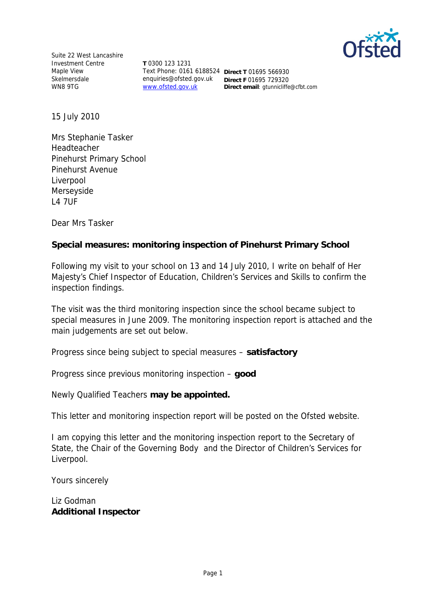

Suite 22 West Lancashire Investment Centre Maple View Skelmersdale WN8 9TG

**T** 0300 123 1231 Text Phone: 0161 6188524 **Direct T** 01695 566930 enquiries@ofsted.gov.uk www.ofsted.gov.uk

**Direct F** 01695 729320 **Direct email**: gtunnicliffe@cfbt.com

15 July 2010

Mrs Stephanie Tasker Headteacher Pinehurst Primary School Pinehurst Avenue Liverpool Merseyside L4 7UF

Dear Mrs Tasker

**Special measures: monitoring inspection of Pinehurst Primary School**

Following my visit to your school on 13 and 14 July 2010, I write on behalf of Her Majesty's Chief Inspector of Education, Children's Services and Skills to confirm the inspection findings.

The visit was the third monitoring inspection since the school became subject to special measures in June 2009. The monitoring inspection report is attached and the main judgements are set out below.

Progress since being subject to special measures *–* **satisfactory**

Progress since previous monitoring inspection – **good**

Newly Qualified Teachers **may be appointed.**

This letter and monitoring inspection report will be posted on the Ofsted website.

I am copying this letter and the monitoring inspection report to the Secretary of State, the Chair of the Governing Body and the Director of Children's Services for Liverpool.

Yours sincerely

Liz Godman **Additional Inspector**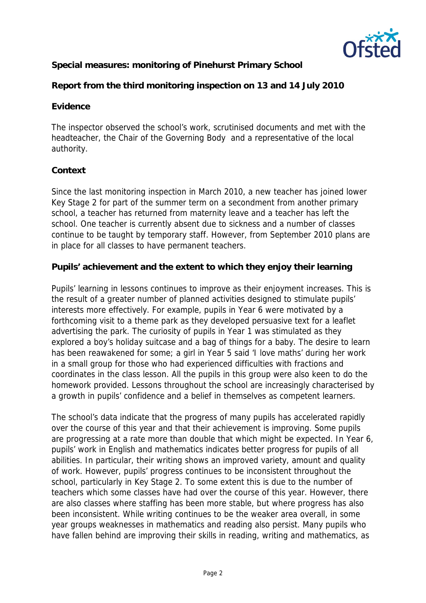

**Special measures: monitoring of Pinehurst Primary School**

**Report from the third monitoring inspection on 13 and 14 July 2010**

### **Evidence**

The inspector observed the school's work, scrutinised documents and met with the headteacher, the Chair of the Governing Body and a representative of the local authority.

# **Context**

Since the last monitoring inspection in March 2010, a new teacher has joined lower Key Stage 2 for part of the summer term on a secondment from another primary school, a teacher has returned from maternity leave and a teacher has left the school. One teacher is currently absent due to sickness and a number of classes continue to be taught by temporary staff. However, from September 2010 plans are in place for all classes to have permanent teachers.

**Pupils' achievement and the extent to which they enjoy their learning**

Pupils' learning in lessons continues to improve as their enjoyment increases. This is the result of a greater number of planned activities designed to stimulate pupils' interests more effectively. For example, pupils in Year 6 were motivated by a forthcoming visit to a theme park as they developed persuasive text for a leaflet advertising the park. The curiosity of pupils in Year 1 was stimulated as they explored a boy's holiday suitcase and a bag of things for a baby. The desire to learn has been reawakened for some; a girl in Year 5 said 'I love maths' during her work in a small group for those who had experienced difficulties with fractions and coordinates in the class lesson. All the pupils in this group were also keen to do the homework provided. Lessons throughout the school are increasingly characterised by a growth in pupils' confidence and a belief in themselves as competent learners.

The school's data indicate that the progress of many pupils has accelerated rapidly over the course of this year and that their achievement is improving. Some pupils are progressing at a rate more than double that which might be expected. In Year 6, pupils' work in English and mathematics indicates better progress for pupils of all abilities. In particular, their writing shows an improved variety, amount and quality of work. However, pupils' progress continues to be inconsistent throughout the school, particularly in Key Stage 2. To some extent this is due to the number of teachers which some classes have had over the course of this year. However, there are also classes where staffing has been more stable, but where progress has also been inconsistent. While writing continues to be the weaker area overall, in some year groups weaknesses in mathematics and reading also persist. Many pupils who have fallen behind are improving their skills in reading, writing and mathematics, as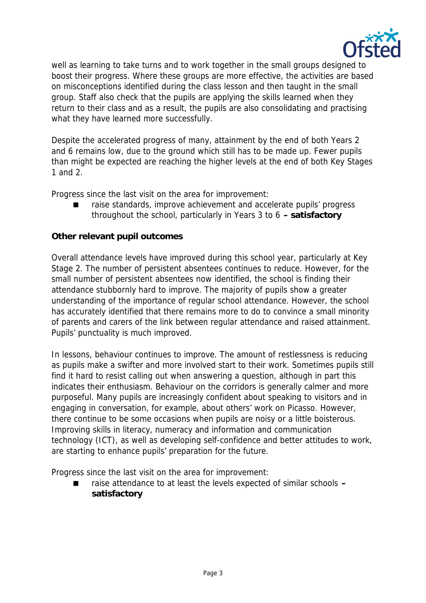

well as learning to take turns and to work together in the small groups designed to boost their progress. Where these groups are more effective, the activities are based on misconceptions identified during the class lesson and then taught in the small group. Staff also check that the pupils are applying the skills learned when they return to their class and as a result, the pupils are also consolidating and practising what they have learned more successfully.

Despite the accelerated progress of many, attainment by the end of both Years 2 and 6 remains low, due to the ground which still has to be made up. Fewer pupils than might be expected are reaching the higher levels at the end of both Key Stages 1 and 2.

Progress since the last visit on the area for improvement:

 raise standards, improve achievement and accelerate pupils' progress throughout the school, particularly in Years 3 to 6 **– satisfactory**

### **Other relevant pupil outcomes**

Overall attendance levels have improved during this school year, particularly at Key Stage 2. The number of persistent absentees continues to reduce. However, for the small number of persistent absentees now identified, the school is finding their attendance stubbornly hard to improve. The majority of pupils show a greater understanding of the importance of regular school attendance. However, the school has accurately identified that there remains more to do to convince a small minority of parents and carers of the link between regular attendance and raised attainment. Pupils' punctuality is much improved.

In lessons, behaviour continues to improve. The amount of restlessness is reducing as pupils make a swifter and more involved start to their work. Sometimes pupils still find it hard to resist calling out when answering a question, although in part this indicates their enthusiasm. Behaviour on the corridors is generally calmer and more purposeful. Many pupils are increasingly confident about speaking to visitors and in engaging in conversation, for example, about others' work on Picasso. However, there continue to be some occasions when pupils are noisy or a little boisterous. Improving skills in literacy, numeracy and information and communication technology (ICT), as well as developing self-confidence and better attitudes to work, are starting to enhance pupils' preparation for the future.

Progress since the last visit on the area for improvement:

 raise attendance to at least the levels expected of similar schools **– satisfactory**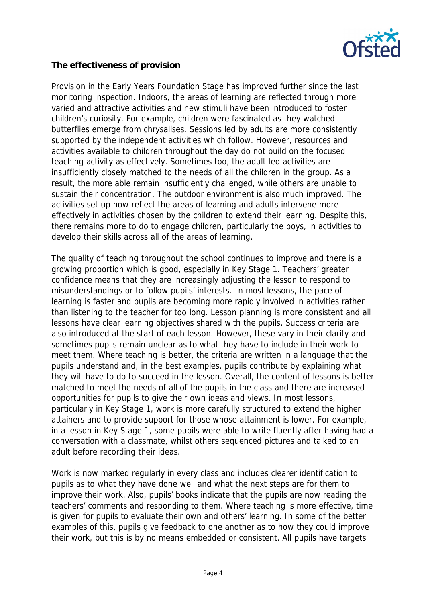

### **The effectiveness of provision**

Provision in the Early Years Foundation Stage has improved further since the last monitoring inspection. Indoors, the areas of learning are reflected through more varied and attractive activities and new stimuli have been introduced to foster children's curiosity. For example, children were fascinated as they watched butterflies emerge from chrysalises. Sessions led by adults are more consistently supported by the independent activities which follow. However, resources and activities available to children throughout the day do not build on the focused teaching activity as effectively. Sometimes too, the adult-led activities are insufficiently closely matched to the needs of all the children in the group. As a result, the more able remain insufficiently challenged, while others are unable to sustain their concentration. The outdoor environment is also much improved. The activities set up now reflect the areas of learning and adults intervene more effectively in activities chosen by the children to extend their learning. Despite this, there remains more to do to engage children, particularly the boys, in activities to develop their skills across all of the areas of learning.

The quality of teaching throughout the school continues to improve and there is a growing proportion which is good, especially in Key Stage 1. Teachers' greater confidence means that they are increasingly adjusting the lesson to respond to misunderstandings or to follow pupils' interests. In most lessons, the pace of learning is faster and pupils are becoming more rapidly involved in activities rather than listening to the teacher for too long. Lesson planning is more consistent and all lessons have clear learning objectives shared with the pupils. Success criteria are also introduced at the start of each lesson. However, these vary in their clarity and sometimes pupils remain unclear as to what they have to include in their work to meet them. Where teaching is better, the criteria are written in a language that the pupils understand and, in the best examples, pupils contribute by explaining what they will have to do to succeed in the lesson. Overall, the content of lessons is better matched to meet the needs of all of the pupils in the class and there are increased opportunities for pupils to give their own ideas and views. In most lessons, particularly in Key Stage 1, work is more carefully structured to extend the higher attainers and to provide support for those whose attainment is lower. For example, in a lesson in Key Stage 1, some pupils were able to write fluently after having had a conversation with a classmate, whilst others sequenced pictures and talked to an adult before recording their ideas.

Work is now marked regularly in every class and includes clearer identification to pupils as to what they have done well and what the next steps are for them to improve their work. Also, pupils' books indicate that the pupils are now reading the teachers' comments and responding to them. Where teaching is more effective, time is given for pupils to evaluate their own and others' learning. In some of the better examples of this, pupils give feedback to one another as to how they could improve their work, but this is by no means embedded or consistent. All pupils have targets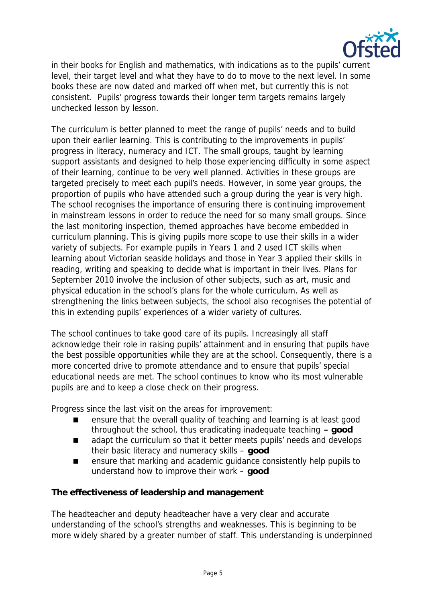

in their books for English and mathematics, with indications as to the pupils' current level, their target level and what they have to do to move to the next level. In some books these are now dated and marked off when met, but currently this is not consistent. Pupils' progress towards their longer term targets remains largely unchecked lesson by lesson.

The curriculum is better planned to meet the range of pupils' needs and to build upon their earlier learning. This is contributing to the improvements in pupils' progress in literacy, numeracy and ICT. The small groups, taught by learning support assistants and designed to help those experiencing difficulty in some aspect of their learning, continue to be very well planned. Activities in these groups are targeted precisely to meet each pupil's needs. However, in some year groups, the proportion of pupils who have attended such a group during the year is very high. The school recognises the importance of ensuring there is continuing improvement in mainstream lessons in order to reduce the need for so many small groups. Since the last monitoring inspection, themed approaches have become embedded in curriculum planning. This is giving pupils more scope to use their skills in a wider variety of subjects. For example pupils in Years 1 and 2 used ICT skills when learning about Victorian seaside holidays and those in Year 3 applied their skills in reading, writing and speaking to decide what is important in their lives. Plans for September 2010 involve the inclusion of other subjects, such as art, music and physical education in the school's plans for the whole curriculum. As well as strengthening the links between subjects, the school also recognises the potential of this in extending pupils' experiences of a wider variety of cultures.

The school continues to take good care of its pupils. Increasingly all staff acknowledge their role in raising pupils' attainment and in ensuring that pupils have the best possible opportunities while they are at the school. Consequently, there is a more concerted drive to promote attendance and to ensure that pupils' special educational needs are met. The school continues to know who its most vulnerable pupils are and to keep a close check on their progress.

Progress since the last visit on the areas for improvement:

- **EXECUTE:** ensure that the overall quality of teaching and learning is at least good throughout the school, thus eradicating inadequate teaching **– good**
- adapt the curriculum so that it better meets pupils' needs and develops their basic literacy and numeracy skills – **good**
- ensure that marking and academic guidance consistently help pupils to understand how to improve their work – **good**

**The effectiveness of leadership and management**

The headteacher and deputy headteacher have a very clear and accurate understanding of the school's strengths and weaknesses. This is beginning to be more widely shared by a greater number of staff. This understanding is underpinned